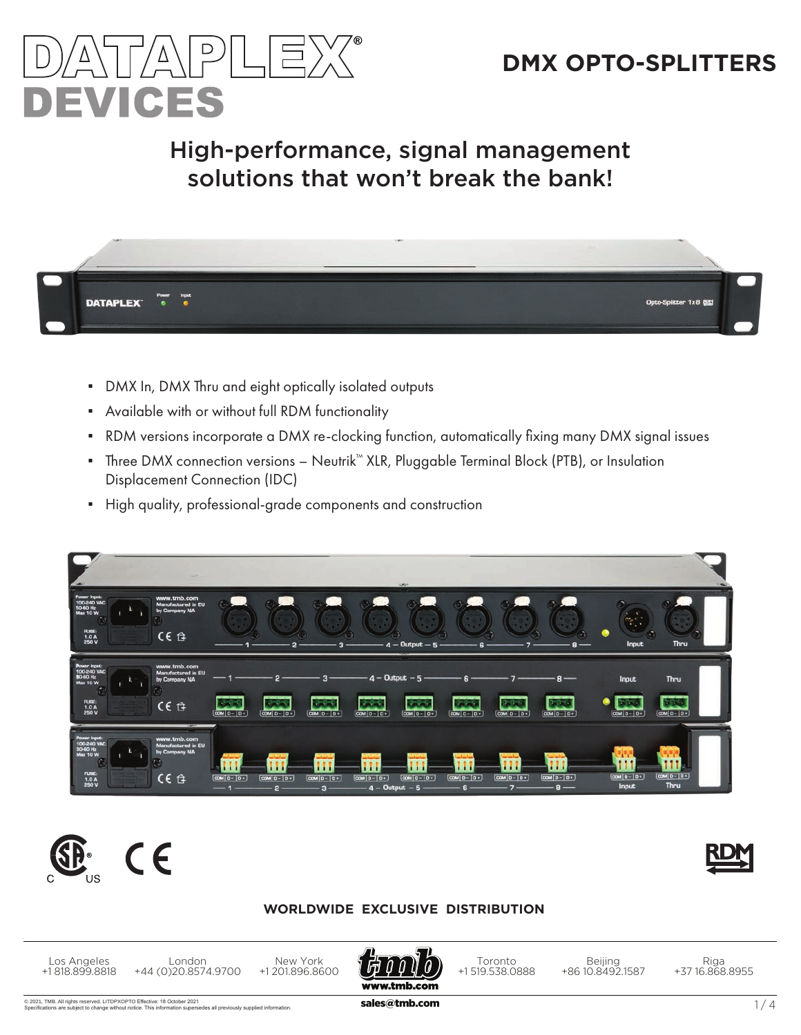

# High-performance, signal management solutions that won't break the bank!



- DMX In, DMX Thru and eight optically isolated outputs
- **•** Available with or without full RDM functionality
- RDM versions incorporate a DMX re-clocking function, automatically fixing many DMX signal issues
- Three DMX connection versions Neutrik™ XLR, Pluggable Terminal Block (PTB), or Insulation Displacement Connection (IDC)
- High quality, professional-grade components and construction







#### **WORLDWIDE EXCLUSIVE DISTRIBUTION**

Los Angeles +1 818.899.8818

New York +1 201.896.8600 London +44 (0)20.8574.9700



Toronto +1 519.538.0888

Beijing +86 10.8492.1587

Riga +37 16.868.8955

© 2021, TMB. All rights reserved. LITDPXOPTO Effective: 18 October 2021 are subject to change wi Effective: 18 October 2021<br>Ce. This information supersedes all previously supplied information. **Sales@tmb.com 1** / 4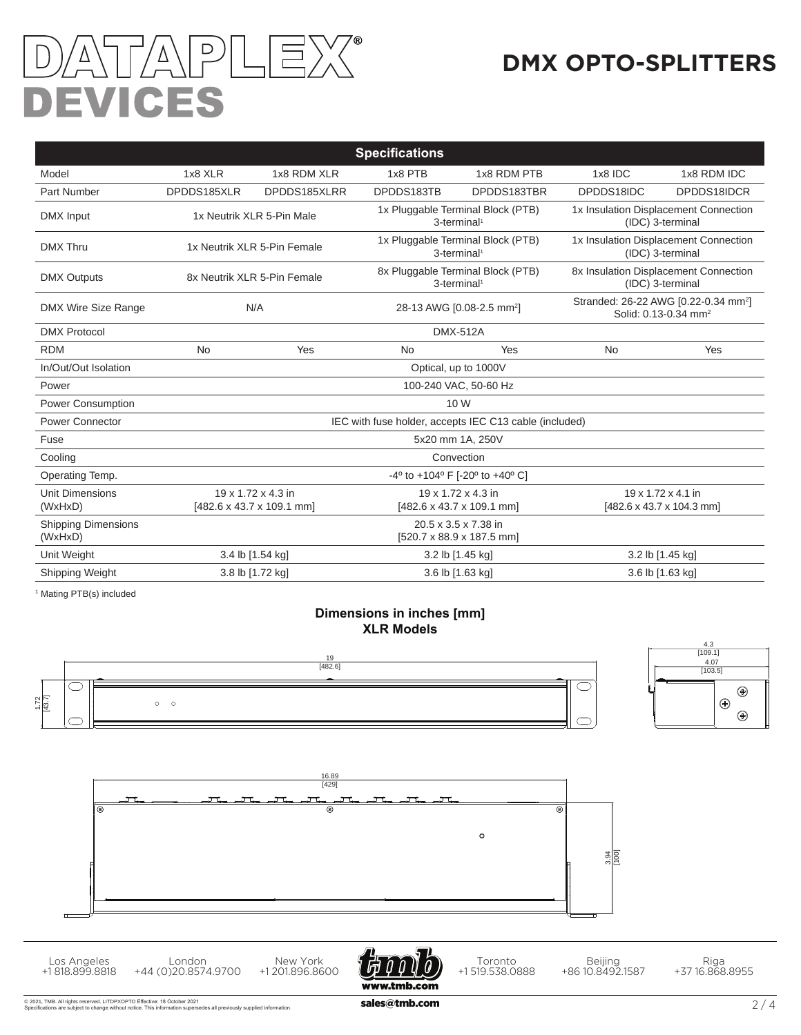# TA\PLE)  $\sqrt{V}$ DEVICES

# **DMX OPTO-SPLITTERS**

| <b>Specifications</b>                 |                                                        |                                      |                                                                     |                                                   |                                                                                      |             |  |  |  |  |
|---------------------------------------|--------------------------------------------------------|--------------------------------------|---------------------------------------------------------------------|---------------------------------------------------|--------------------------------------------------------------------------------------|-------------|--|--|--|--|
| Model                                 | 1x8 XLR                                                | 1x8 RDM XLR                          | 1x8 PTB                                                             | 1x8 RDM PTB                                       | 1x8 IDC                                                                              | 1x8 RDM IDC |  |  |  |  |
| <b>Part Number</b>                    | DPDDS185XLR                                            | DPDDS185XLRR                         | DPDDS183TB                                                          | DPDDS183TBR                                       | DPDDS18IDC                                                                           | DPDDS18IDCR |  |  |  |  |
| DMX Input                             | 1x Neutrik XLR 5-Pin Male                              |                                      | 1x Pluggable Terminal Block (PTB)<br>3-terminal <sup>1</sup>        |                                                   | 1x Insulation Displacement Connection<br>(IDC) 3-terminal                            |             |  |  |  |  |
| <b>DMX Thru</b>                       | 1x Neutrik XLR 5-Pin Female                            |                                      | 1x Pluggable Terminal Block (PTB)<br>3-terminal <sup>1</sup>        |                                                   | 1x Insulation Displacement Connection<br>(IDC) 3-terminal                            |             |  |  |  |  |
| <b>DMX Outputs</b>                    | 8x Neutrik XLR 5-Pin Female                            |                                      | 8x Pluggable Terminal Block (PTB)<br>3-terminal <sup>1</sup>        |                                                   | 8x Insulation Displacement Connection<br>(IDC) 3-terminal                            |             |  |  |  |  |
| DMX Wire Size Range                   | N/A                                                    |                                      | 28-13 AWG [0.08-2.5 mm <sup>2</sup> ]                               |                                                   | Stranded: 26-22 AWG [0.22-0.34 mm <sup>2</sup> ]<br>Solid: 0.13-0.34 mm <sup>2</sup> |             |  |  |  |  |
| <b>DMX Protocol</b>                   | <b>DMX-512A</b>                                        |                                      |                                                                     |                                                   |                                                                                      |             |  |  |  |  |
| <b>RDM</b>                            | <b>No</b>                                              | Yes                                  | <b>No</b>                                                           | Yes                                               | <b>No</b>                                                                            | Yes         |  |  |  |  |
| In/Out/Out Isolation                  | Optical, up to 1000V                                   |                                      |                                                                     |                                                   |                                                                                      |             |  |  |  |  |
| Power                                 | 100-240 VAC, 50-60 Hz                                  |                                      |                                                                     |                                                   |                                                                                      |             |  |  |  |  |
| <b>Power Consumption</b>              | 10 W                                                   |                                      |                                                                     |                                                   |                                                                                      |             |  |  |  |  |
| <b>Power Connector</b>                | IEC with fuse holder, accepts IEC C13 cable (included) |                                      |                                                                     |                                                   |                                                                                      |             |  |  |  |  |
| Fuse                                  | 5x20 mm 1A, 250V                                       |                                      |                                                                     |                                                   |                                                                                      |             |  |  |  |  |
| Cooling                               | Convection                                             |                                      |                                                                     |                                                   |                                                                                      |             |  |  |  |  |
| Operating Temp.                       | -4° to +104° F [-20° to +40° C]                        |                                      |                                                                     |                                                   |                                                                                      |             |  |  |  |  |
| <b>Unit Dimensions</b><br>(WxHxD)     | 19 x 1.72 x 4.3 in<br>[482.6 x 43.7 x 109.1 mm]        |                                      | 19 x 1.72 x 4.3 in<br>$[482.6 \times 43.7 \times 109.1 \text{ mm}]$ |                                                   | 19 x 1.72 x 4.1 in<br>[482.6 x 43.7 x 104.3 mm]                                      |             |  |  |  |  |
| <b>Shipping Dimensions</b><br>(WxHxD) |                                                        |                                      |                                                                     | 20.5 x 3.5 x 7.38 in<br>[520.7 x 88.9 x 187.5 mm] |                                                                                      |             |  |  |  |  |
| Unit Weight                           | 3.4 lb [1.54 kg]                                       |                                      | 3.2 lb [1.45 kg]                                                    |                                                   | 3.2 lb [1.45 kg]                                                                     |             |  |  |  |  |
| Shipping Weight                       |                                                        | 3.8 lb [1.72 kg]<br>3.6 lb [1.63 kg] |                                                                     | 3.6 lb [1.63 kg]                                  |                                                                                      |             |  |  |  |  |

1 Mating PTB(s) included

Los Angeles +1 818.899.8818

#### **Dimensions in inches [mm] XLR Models**







London

Ô

Toronto +1 519.538.0888

Beijing +86 10.8492.1587

Riga +37 16.868.8955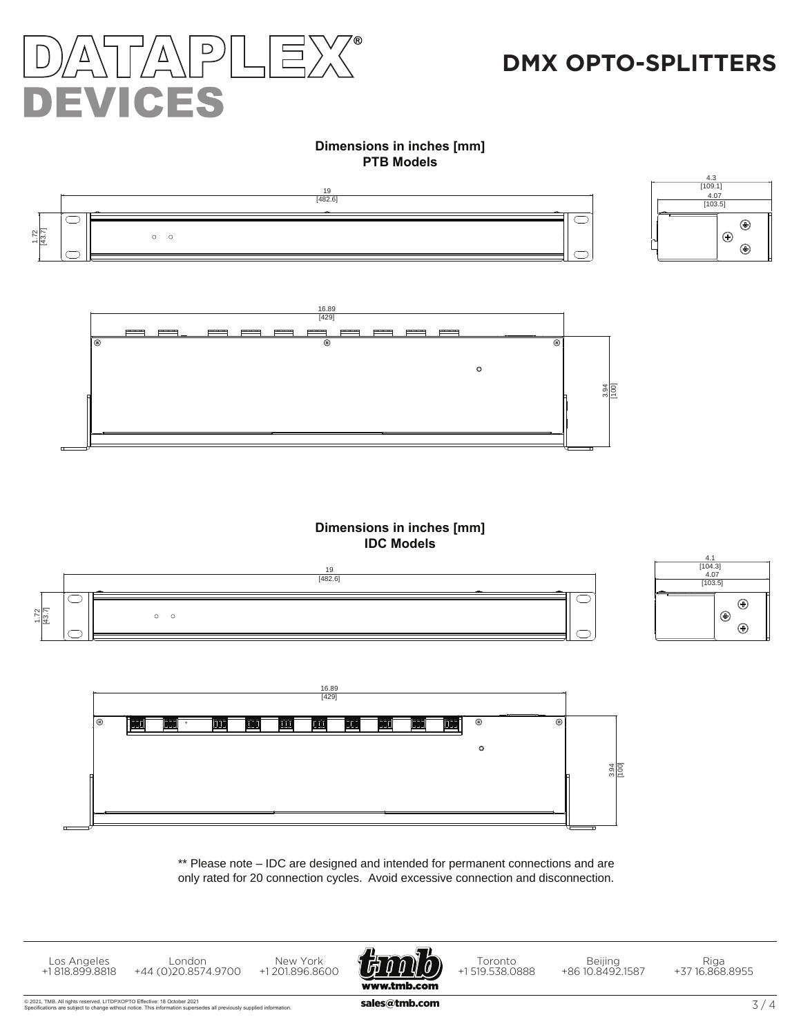

# **DMX OPTO-SPLITTERS**

#### **Dimensions in inches [mm] PTB Models**





#### **Dimensions in inches [mm] IDC Models**





\*\* Please note – IDC are designed and intended for permanent connections and are only rated for 20 connection cycles. Avoid excessive connection and disconnection.